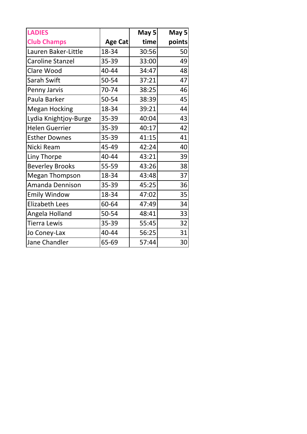| <b>LADIES</b>           |         | May 5 | May 5  |
|-------------------------|---------|-------|--------|
| <b>Club Champs</b>      | Age Cat | time  | points |
| Lauren Baker-Little     | 18-34   | 30:56 | 50     |
| <b>Caroline Stanzel</b> | 35-39   | 33:00 | 49     |
| Clare Wood              | 40-44   | 34:47 | 48     |
| Sarah Swift             | 50-54   | 37:21 | 47     |
| Penny Jarvis            | 70-74   | 38:25 | 46     |
| Paula Barker            | 50-54   | 38:39 | 45     |
| <b>Megan Hocking</b>    | 18-34   | 39:21 | 44     |
| Lydia Knightjoy-Burge   | 35-39   | 40:04 | 43     |
| <b>Helen Guerrier</b>   | 35-39   | 40:17 | 42     |
| <b>Esther Downes</b>    | 35-39   | 41:15 | 41     |
| Nicki Ream              | 45-49   | 42:24 | 40     |
| Liny Thorpe             | 40-44   | 43:21 | 39     |
| <b>Beverley Brooks</b>  | 55-59   | 43:26 | 38     |
| <b>Megan Thompson</b>   | 18-34   | 43:48 | 37     |
| Amanda Dennison         | 35-39   | 45:25 | 36     |
| <b>Emily Window</b>     | 18-34   | 47:02 | 35     |
| <b>Elizabeth Lees</b>   | 60-64   | 47:49 | 34     |
| Angela Holland          | 50-54   | 48:41 | 33     |
| <b>Tierra Lewis</b>     | 35-39   | 55:45 | 32     |
| Jo Coney-Lax            | 40-44   | 56:25 | 31     |
| Jane Chandler           | 65-69   | 57:44 | 30     |